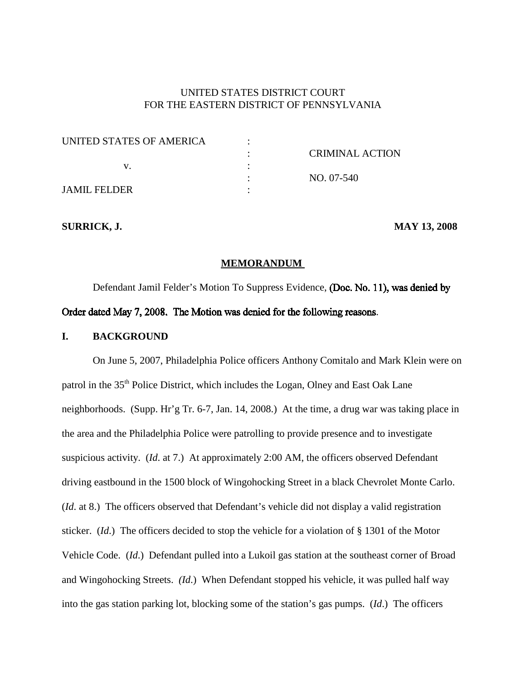# UNITED STATES DISTRICT COURT FOR THE EASTERN DISTRICT OF PENNSYLVANIA

| UNITED STATES OF AMERICA |                        |
|--------------------------|------------------------|
|                          | <b>CRIMINAL ACTION</b> |
|                          |                        |
|                          | $NO. 07-540$           |
| <b>JAMIL FELDER</b>      |                        |

**SURRICK, J. MAY 13, 2008**

### **MEMORANDUM**

Defendant Jamil Felder's Motion To Suppress Evidence, (Doc. No. 11), was denied by Order dated May 7, 2008. The Motion was denied for the following reasons.

## **I. BACKGROUND**

On June 5, 2007, Philadelphia Police officers Anthony Comitalo and Mark Klein were on patrol in the 35<sup>th</sup> Police District, which includes the Logan, Olney and East Oak Lane neighborhoods. (Supp. Hr'g Tr. 6-7, Jan. 14, 2008.) At the time, a drug war was taking place in the area and the Philadelphia Police were patrolling to provide presence and to investigate suspicious activity. (*Id*. at 7.) At approximately 2:00 AM, the officers observed Defendant driving eastbound in the 1500 block of Wingohocking Street in a black Chevrolet Monte Carlo. (*Id*. at 8.) The officers observed that Defendant's vehicle did not display a valid registration sticker. (*Id*.) The officers decided to stop the vehicle for a violation of § 1301 of the Motor Vehicle Code. (*Id*.) Defendant pulled into a Lukoil gas station at the southeast corner of Broad and Wingohocking Streets. *(Id*.) When Defendant stopped his vehicle, it was pulled half way into the gas station parking lot, blocking some of the station's gas pumps. (*Id*.) The officers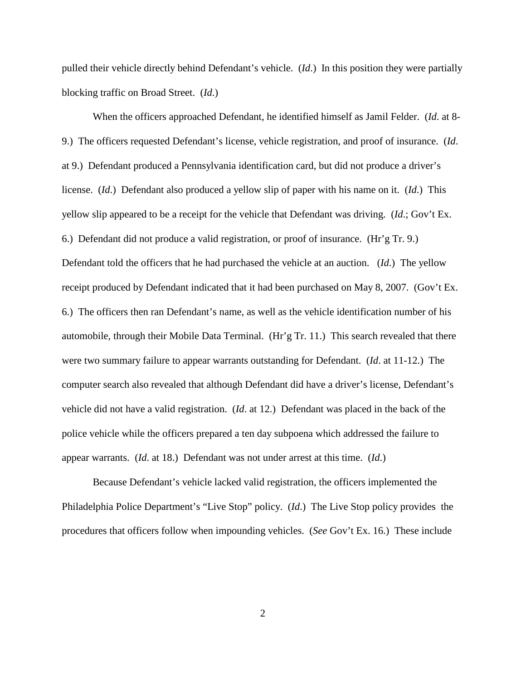pulled their vehicle directly behind Defendant's vehicle. (*Id*.) In this position they were partially blocking traffic on Broad Street. (*Id*.)

When the officers approached Defendant, he identified himself as Jamil Felder. (*Id*. at 8- 9.) The officers requested Defendant's license, vehicle registration, and proof of insurance. (*Id*. at 9.) Defendant produced a Pennsylvania identification card, but did not produce a driver's license. (*Id*.) Defendant also produced a yellow slip of paper with his name on it. (*Id*.) This yellow slip appeared to be a receipt for the vehicle that Defendant was driving. (*Id*.; Gov't Ex. 6.) Defendant did not produce a valid registration, or proof of insurance. (Hr'g Tr. 9.) Defendant told the officers that he had purchased the vehicle at an auction. (*Id*.) The yellow receipt produced by Defendant indicated that it had been purchased on May 8, 2007. (Gov't Ex. 6.) The officers then ran Defendant's name, as well as the vehicle identification number of his automobile, through their Mobile Data Terminal. (Hr'g Tr. 11.) This search revealed that there were two summary failure to appear warrants outstanding for Defendant. (*Id*. at 11-12.) The computer search also revealed that although Defendant did have a driver's license, Defendant's vehicle did not have a valid registration. (*Id*. at 12.) Defendant was placed in the back of the police vehicle while the officers prepared a ten day subpoena which addressed the failure to appear warrants. (*Id*. at 18.) Defendant was not under arrest at this time. (*Id*.)

Because Defendant's vehicle lacked valid registration, the officers implemented the Philadelphia Police Department's "Live Stop" policy. (*Id*.) The Live Stop policy provides the procedures that officers follow when impounding vehicles. (*See* Gov't Ex. 16.) These include

2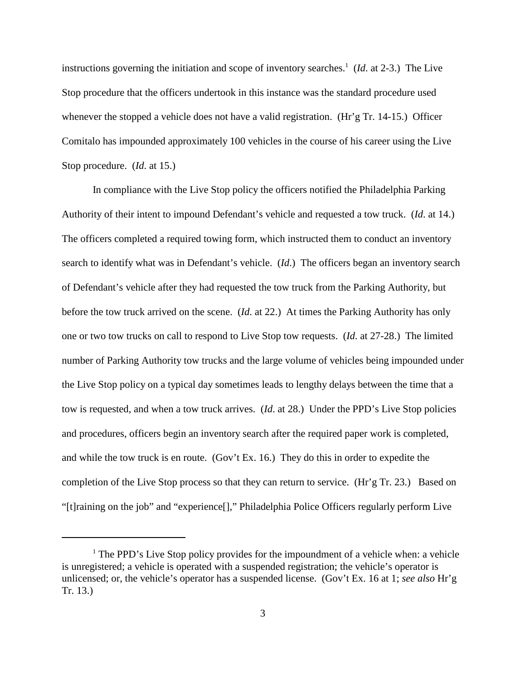instructions governing the initiation and scope of inventory searches. <sup>1</sup> (*Id*. at 2-3.) The Live Stop procedure that the officers undertook in this instance was the standard procedure used whenever the stopped a vehicle does not have a valid registration. (Hr'g Tr. 14-15.) Officer Comitalo has impounded approximately 100 vehicles in the course of his career using the Live Stop procedure. (*Id*. at 15.)

In compliance with the Live Stop policy the officers notified the Philadelphia Parking Authority of their intent to impound Defendant's vehicle and requested a tow truck. (*Id*. at 14.) The officers completed a required towing form, which instructed them to conduct an inventory search to identify what was in Defendant's vehicle. (*Id*.) The officers began an inventory search of Defendant's vehicle after they had requested the tow truck from the Parking Authority, but before the tow truck arrived on the scene. (*Id*. at 22.) At times the Parking Authority has only one or two tow trucks on call to respond to Live Stop tow requests. (*Id*. at 27-28.) The limited number of Parking Authority tow trucks and the large volume of vehicles being impounded under the Live Stop policy on a typical day sometimes leads to lengthy delays between the time that a tow is requested, and when a tow truck arrives. (*Id*. at 28.) Under the PPD's Live Stop policies and procedures, officers begin an inventory search after the required paper work is completed, and while the tow truck is en route. (Gov't Ex. 16.) They do this in order to expedite the completion of the Live Stop process so that they can return to service. (Hr'g Tr. 23.) Based on "[t]raining on the job" and "experience[]," Philadelphia Police Officers regularly perform Live

 $<sup>1</sup>$  The PPD's Live Stop policy provides for the impoundment of a vehicle when: a vehicle</sup> is unregistered; a vehicle is operated with a suspended registration; the vehicle's operator is unlicensed; or, the vehicle's operator has a suspended license. (Gov't Ex. 16 at 1; *see also* Hr'g Tr. 13.)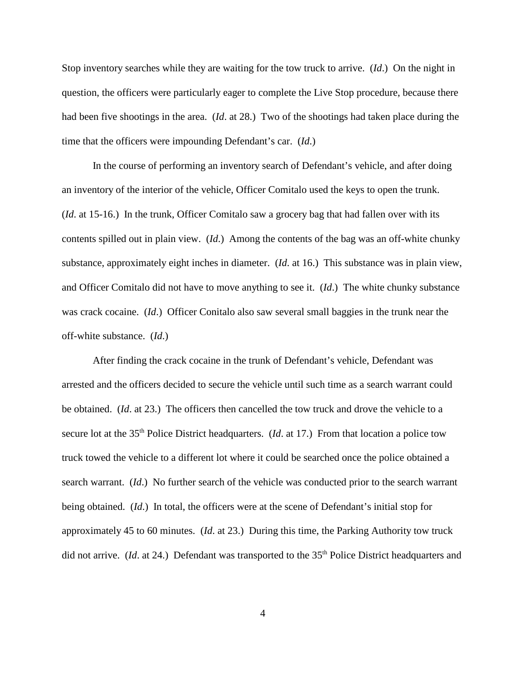Stop inventory searches while they are waiting for the tow truck to arrive. (*Id*.) On the night in question, the officers were particularly eager to complete the Live Stop procedure, because there had been five shootings in the area. (*Id*. at 28.) Two of the shootings had taken place during the time that the officers were impounding Defendant's car. (*Id*.)

In the course of performing an inventory search of Defendant's vehicle, and after doing an inventory of the interior of the vehicle, Officer Comitalo used the keys to open the trunk. (*Id*. at 15-16.) In the trunk, Officer Comitalo saw a grocery bag that had fallen over with its contents spilled out in plain view. (*Id*.) Among the contents of the bag was an off-white chunky substance, approximately eight inches in diameter. (*Id*. at 16.) This substance was in plain view, and Officer Comitalo did not have to move anything to see it. (*Id*.) The white chunky substance was crack cocaine. (*Id*.) Officer Conitalo also saw several small baggies in the trunk near the off-white substance. (*Id*.)

After finding the crack cocaine in the trunk of Defendant's vehicle, Defendant was arrested and the officers decided to secure the vehicle until such time as a search warrant could be obtained. (*Id*. at 23.) The officers then cancelled the tow truck and drove the vehicle to a secure lot at the 35<sup>th</sup> Police District headquarters. (*Id.* at 17.) From that location a police tow truck towed the vehicle to a different lot where it could be searched once the police obtained a search warrant. (*Id*.) No further search of the vehicle was conducted prior to the search warrant being obtained. (*Id*.) In total, the officers were at the scene of Defendant's initial stop for approximately 45 to 60 minutes. (*Id*. at 23.) During this time, the Parking Authority tow truck did not arrive. (*Id.* at 24.) Defendant was transported to the 35<sup>th</sup> Police District headquarters and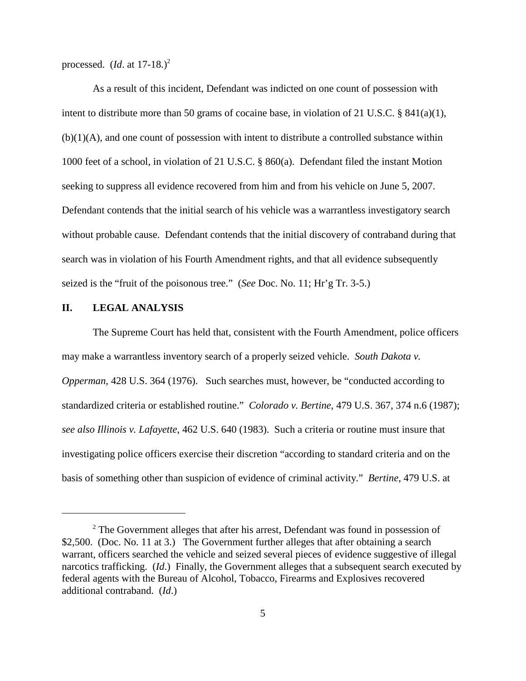processed. (*Id*. at 17-18.) 2

As a result of this incident, Defendant was indicted on one count of possession with intent to distribute more than 50 grams of cocaine base, in violation of 21 U.S.C. § 841(a)(1),  $(b)(1)(A)$ , and one count of possession with intent to distribute a controlled substance within 1000 feet of a school, in violation of 21 U.S.C. § 860(a). Defendant filed the instant Motion seeking to suppress all evidence recovered from him and from his vehicle on June 5, 2007. Defendant contends that the initial search of his vehicle was a warrantless investigatory search without probable cause. Defendant contends that the initial discovery of contraband during that search was in violation of his Fourth Amendment rights, and that all evidence subsequently seized is the "fruit of the poisonous tree." (*See* Doc. No. 11; Hr'g Tr. 3-5.)

## **II. LEGAL ANALYSIS**

The Supreme Court has held that, consistent with the Fourth Amendment, police officers may make a warrantless inventory search of a properly seized vehicle. *South Dakota v. Opperman*, 428 U.S. 364 (1976). Such searches must, however, be "conducted according to standardized criteria or established routine." *Colorado v. Bertine*, 479 U.S. 367, 374 n.6 (1987); *see also Illinois v. Lafayette,* 462 U.S. 640 (1983). Such a criteria or routine must insure that investigating police officers exercise their discretion "according to standard criteria and on the basis of something other than suspicion of evidence of criminal activity." *Bertine*, 479 U.S. at

<sup>&</sup>lt;sup>2</sup> The Government alleges that after his arrest, Defendant was found in possession of \$2,500. (Doc. No. 11 at 3.) The Government further alleges that after obtaining a search warrant, officers searched the vehicle and seized several pieces of evidence suggestive of illegal narcotics trafficking. (*Id*.) Finally, the Government alleges that a subsequent search executed by federal agents with the Bureau of Alcohol, Tobacco, Firearms and Explosives recovered additional contraband. (*Id*.)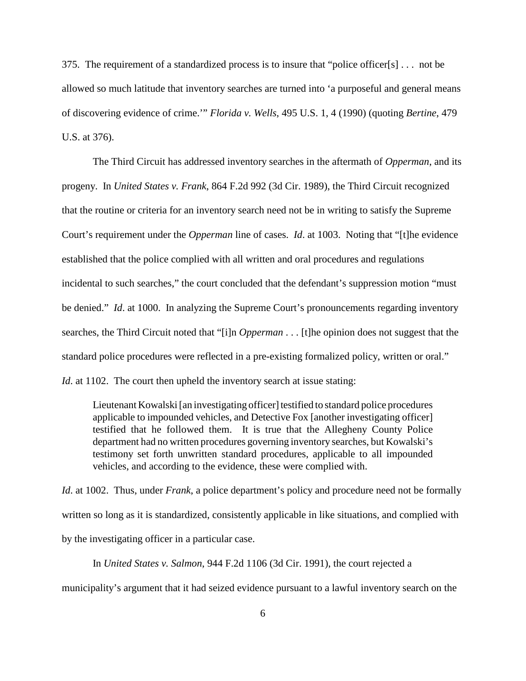375. The requirement of a standardized process is to insure that "police officer[s] . . . not be allowed so much latitude that inventory searches are turned into 'a purposeful and general means of discovering evidence of crime.'" *Florida v. Wells*, 495 U.S. 1, 4 (1990) (quoting *Bertine*, 479 U.S. at 376).

The Third Circuit has addressed inventory searches in the aftermath of *Opperman*, and its progeny. In *United States v. Frank*, 864 F.2d 992 (3d Cir. 1989), the Third Circuit recognized that the routine or criteria for an inventory search need not be in writing to satisfy the Supreme Court's requirement under the *Opperman* line of cases. *Id*. at 1003. Noting that "[t]he evidence established that the police complied with all written and oral procedures and regulations incidental to such searches," the court concluded that the defendant's suppression motion "must be denied." *Id.* at 1000. In analyzing the Supreme Court's pronouncements regarding inventory searches, the Third Circuit noted that "[i]n *Opperman* . . . [t]he opinion does not suggest that the standard police procedures were reflected in a pre-existing formalized policy, written or oral." *Id.* at 1102. The court then upheld the inventory search at issue stating:

Lieutenant Kowalski [an investigating officer] testified to standard police procedures applicable to impounded vehicles, and Detective Fox [another investigating officer] testified that he followed them. It is true that the Allegheny County Police department had no written procedures governing inventory searches, but Kowalski's testimony set forth unwritten standard procedures, applicable to all impounded vehicles, and according to the evidence, these were complied with.

*Id.* at 1002. Thus, under *Frank*, a police department's policy and procedure need not be formally written so long as it is standardized, consistently applicable in like situations, and complied with by the investigating officer in a particular case.

In *United States v. Salmon*, 944 F.2d 1106 (3d Cir. 1991), the court rejected a

municipality's argument that it had seized evidence pursuant to a lawful inventory search on the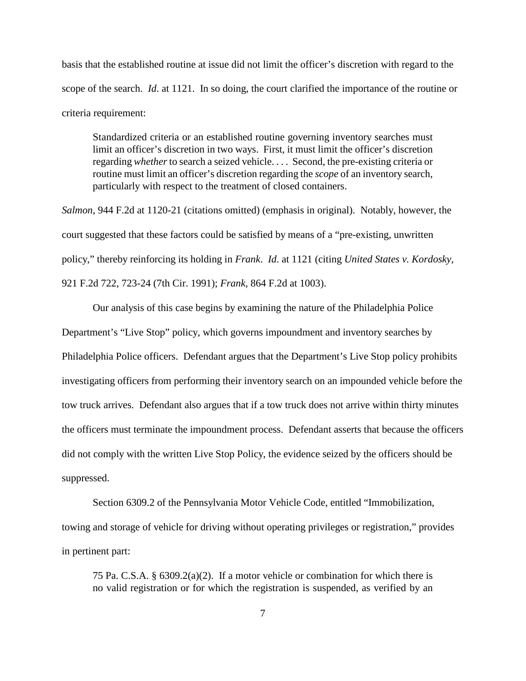basis that the established routine at issue did not limit the officer's discretion with regard to the scope of the search. *Id*. at 1121. In so doing, the court clarified the importance of the routine or criteria requirement:

Standardized criteria or an established routine governing inventory searches must limit an officer's discretion in two ways. First, it must limit the officer's discretion regarding *whether* to search a seized vehicle. . . . Second, the pre-existing criteria or routine must limit an officer's discretion regarding the *scope* of an inventory search, particularly with respect to the treatment of closed containers.

*Salmon*, 944 F.2d at 1120-21 (citations omitted) (emphasis in original). Notably, however, the court suggested that these factors could be satisfied by means of a "pre-existing, unwritten policy," thereby reinforcing its holding in *Frank*. *Id*. at 1121 (citing *United States v. Kordosky*, 921 F.2d 722, 723-24 (7th Cir. 1991); *Frank*, 864 F.2d at 1003).

Our analysis of this case begins by examining the nature of the Philadelphia Police Department's "Live Stop" policy, which governs impoundment and inventory searches by Philadelphia Police officers. Defendant argues that the Department's Live Stop policy prohibits investigating officers from performing their inventory search on an impounded vehicle before the tow truck arrives. Defendant also argues that if a tow truck does not arrive within thirty minutes the officers must terminate the impoundment process. Defendant asserts that because the officers did not comply with the written Live Stop Policy, the evidence seized by the officers should be suppressed.

Section 6309.2 of the Pennsylvania Motor Vehicle Code, entitled "Immobilization, towing and storage of vehicle for driving without operating privileges or registration," provides in pertinent part:

75 Pa. C.S.A.  $\S 6309.2(a)(2)$ . If a motor vehicle or combination for which there is no valid registration or for which the registration is suspended, as verified by an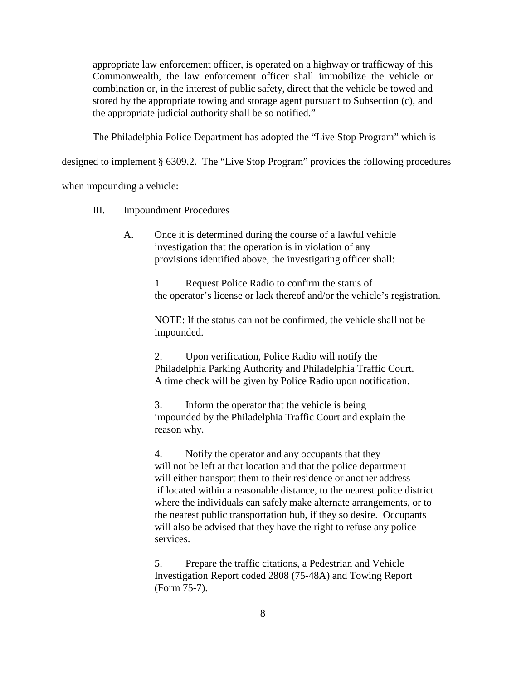appropriate law enforcement officer, is operated on a highway or trafficway of this Commonwealth, the law enforcement officer shall immobilize the vehicle or combination or, in the interest of public safety, direct that the vehicle be towed and stored by the appropriate towing and storage agent pursuant to Subsection (c), and the appropriate judicial authority shall be so notified."

The Philadelphia Police Department has adopted the "Live Stop Program" which is

designed to implement § 6309.2. The "Live Stop Program" provides the following procedures

when impounding a vehicle:

- III. Impoundment Procedures
	- A. Once it is determined during the course of a lawful vehicle investigation that the operation is in violation of any provisions identified above, the investigating officer shall:

1. Request Police Radio to confirm the status of the operator's license or lack thereof and/or the vehicle's registration.

NOTE: If the status can not be confirmed, the vehicle shall not be impounded.

2. Upon verification, Police Radio will notify the Philadelphia Parking Authority and Philadelphia Traffic Court. A time check will be given by Police Radio upon notification.

3. Inform the operator that the vehicle is being impounded by the Philadelphia Traffic Court and explain the reason why.

4. Notify the operator and any occupants that they will not be left at that location and that the police department will either transport them to their residence or another address if located within a reasonable distance, to the nearest police district where the individuals can safely make alternate arrangements, or to the nearest public transportation hub, if they so desire. Occupants will also be advised that they have the right to refuse any police services.

5. Prepare the traffic citations, a Pedestrian and Vehicle Investigation Report coded 2808 (75-48A) and Towing Report (Form 75-7).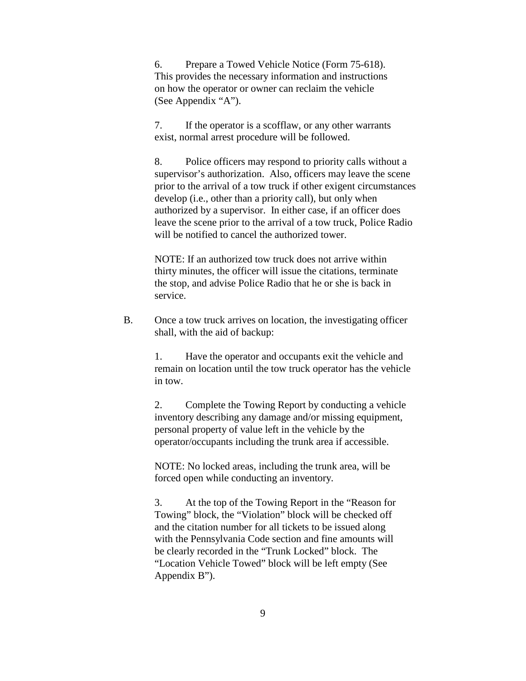6. Prepare a Towed Vehicle Notice (Form 75-618). This provides the necessary information and instructions on how the operator or owner can reclaim the vehicle (See Appendix "A").

7. If the operator is a scofflaw, or any other warrants exist, normal arrest procedure will be followed.

8. Police officers may respond to priority calls without a supervisor's authorization. Also, officers may leave the scene prior to the arrival of a tow truck if other exigent circumstances develop (i.e., other than a priority call), but only when authorized by a supervisor. In either case, if an officer does leave the scene prior to the arrival of a tow truck, Police Radio will be notified to cancel the authorized tower.

NOTE: If an authorized tow truck does not arrive within thirty minutes, the officer will issue the citations, terminate the stop, and advise Police Radio that he or she is back in service.

B. Once a tow truck arrives on location, the investigating officer shall, with the aid of backup:

> 1. Have the operator and occupants exit the vehicle and remain on location until the tow truck operator has the vehicle in tow.

2. Complete the Towing Report by conducting a vehicle inventory describing any damage and/or missing equipment, personal property of value left in the vehicle by the operator/occupants including the trunk area if accessible.

NOTE: No locked areas, including the trunk area, will be forced open while conducting an inventory.

3. At the top of the Towing Report in the "Reason for Towing" block, the "Violation" block will be checked off and the citation number for all tickets to be issued along with the Pennsylvania Code section and fine amounts will be clearly recorded in the "Trunk Locked" block. The "Location Vehicle Towed" block will be left empty (See Appendix B").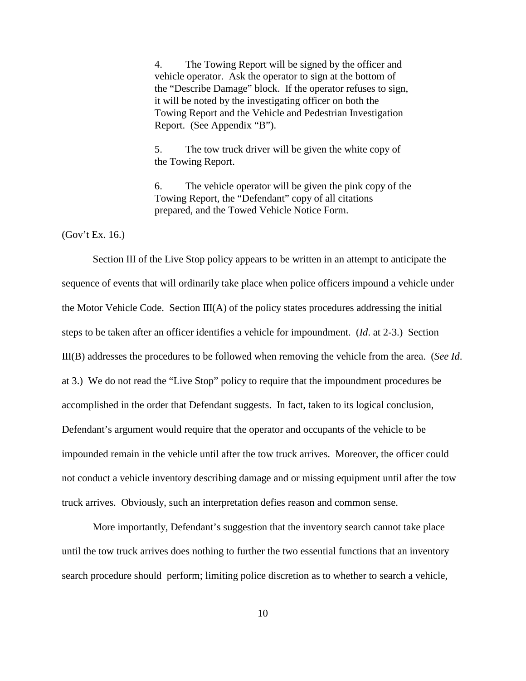4. The Towing Report will be signed by the officer and vehicle operator. Ask the operator to sign at the bottom of the "Describe Damage" block. If the operator refuses to sign, it will be noted by the investigating officer on both the Towing Report and the Vehicle and Pedestrian Investigation Report. (See Appendix "B").

5. The tow truck driver will be given the white copy of the Towing Report.

6. The vehicle operator will be given the pink copy of the Towing Report, the "Defendant" copy of all citations prepared, and the Towed Vehicle Notice Form.

(Gov't Ex. 16.)

Section III of the Live Stop policy appears to be written in an attempt to anticipate the sequence of events that will ordinarily take place when police officers impound a vehicle under the Motor Vehicle Code. Section  $III(A)$  of the policy states procedures addressing the initial steps to be taken after an officer identifies a vehicle for impoundment. (*Id*. at 2-3.) Section III(B) addresses the procedures to be followed when removing the vehicle from the area. (*See Id*. at 3.) We do not read the "Live Stop" policy to require that the impoundment procedures be accomplished in the order that Defendant suggests. In fact, taken to its logical conclusion, Defendant's argument would require that the operator and occupants of the vehicle to be impounded remain in the vehicle until after the tow truck arrives. Moreover, the officer could not conduct a vehicle inventory describing damage and or missing equipment until after the tow truck arrives. Obviously, such an interpretation defies reason and common sense.

More importantly, Defendant's suggestion that the inventory search cannot take place until the tow truck arrives does nothing to further the two essential functions that an inventory search procedure should perform; limiting police discretion as to whether to search a vehicle,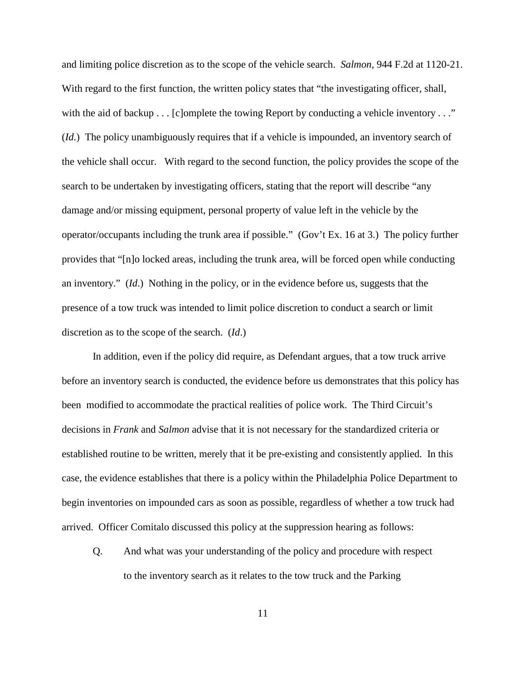and limiting police discretion as to the scope of the vehicle search. *Salmon*, 944 F.2d at 1120-21. With regard to the first function, the written policy states that "the investigating officer, shall, with the aid of backup . . . [c]omplete the towing Report by conducting a vehicle inventory . . ." (*Id*.) The policy unambiguously requires that if a vehicle is impounded, an inventory search of the vehicle shall occur. With regard to the second function, the policy provides the scope of the search to be undertaken by investigating officers, stating that the report will describe "any damage and/or missing equipment, personal property of value left in the vehicle by the operator/occupants including the trunk area if possible." (Gov't Ex. 16 at 3.) The policy further provides that "[n]o locked areas, including the trunk area, will be forced open while conducting an inventory." (*Id*.) Nothing in the policy, or in the evidence before us, suggests that the presence of a tow truck was intended to limit police discretion to conduct a search or limit discretion as to the scope of the search. (*Id*.)

In addition, even if the policy did require, as Defendant argues, that a tow truck arrive before an inventory search is conducted, the evidence before us demonstrates that this policy has been modified to accommodate the practical realities of police work. The Third Circuit's decisions in *Frank* and *Salmon* advise that it is not necessary for the standardized criteria or established routine to be written, merely that it be pre-existing and consistently applied. In this case, the evidence establishes that there is a policy within the Philadelphia Police Department to begin inventories on impounded cars as soon as possible, regardless of whether a tow truck had arrived. Officer Comitalo discussed this policy at the suppression hearing as follows:

Q. And what was your understanding of the policy and procedure with respect to the inventory search as it relates to the tow truck and the Parking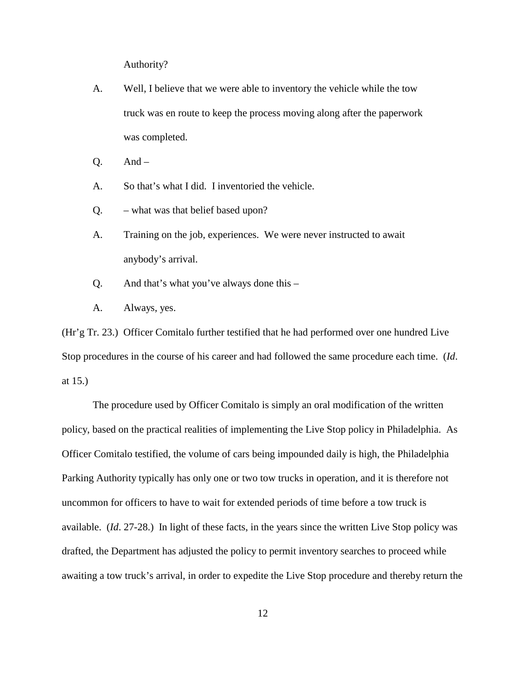Authority?

- A. Well, I believe that we were able to inventory the vehicle while the tow truck was en route to keep the process moving along after the paperwork was completed.
- $Q.$  And –
- A. So that's what I did. I inventoried the vehicle.
- Q. what was that belief based upon?
- A. Training on the job, experiences. We were never instructed to await anybody's arrival.
- Q. And that's what you've always done this –
- A. Always, yes.

(Hr'g Tr. 23.) Officer Comitalo further testified that he had performed over one hundred Live Stop procedures in the course of his career and had followed the same procedure each time. (*Id*. at 15.)

The procedure used by Officer Comitalo is simply an oral modification of the written policy, based on the practical realities of implementing the Live Stop policy in Philadelphia. As Officer Comitalo testified, the volume of cars being impounded daily is high, the Philadelphia Parking Authority typically has only one or two tow trucks in operation, and it is therefore not uncommon for officers to have to wait for extended periods of time before a tow truck is available. (*Id*. 27-28.) In light of these facts, in the years since the written Live Stop policy was drafted, the Department has adjusted the policy to permit inventory searches to proceed while awaiting a tow truck's arrival, in order to expedite the Live Stop procedure and thereby return the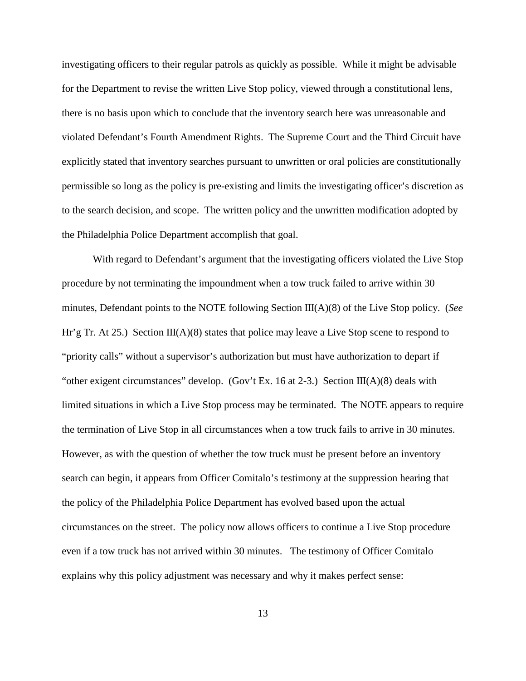investigating officers to their regular patrols as quickly as possible. While it might be advisable for the Department to revise the written Live Stop policy, viewed through a constitutional lens, there is no basis upon which to conclude that the inventory search here was unreasonable and violated Defendant's Fourth Amendment Rights. The Supreme Court and the Third Circuit have explicitly stated that inventory searches pursuant to unwritten or oral policies are constitutionally permissible so long as the policy is pre-existing and limits the investigating officer's discretion as to the search decision, and scope. The written policy and the unwritten modification adopted by the Philadelphia Police Department accomplish that goal.

With regard to Defendant's argument that the investigating officers violated the Live Stop procedure by not terminating the impoundment when a tow truck failed to arrive within 30 minutes, Defendant points to the NOTE following Section III(A)(8) of the Live Stop policy. (*See* Hr'g Tr. At 25.) Section III(A)(8) states that police may leave a Live Stop scene to respond to "priority calls" without a supervisor's authorization but must have authorization to depart if "other exigent circumstances" develop. (Gov't Ex. 16 at 2-3.) Section III(A)(8) deals with limited situations in which a Live Stop process may be terminated. The NOTE appears to require the termination of Live Stop in all circumstances when a tow truck fails to arrive in 30 minutes. However, as with the question of whether the tow truck must be present before an inventory search can begin, it appears from Officer Comitalo's testimony at the suppression hearing that the policy of the Philadelphia Police Department has evolved based upon the actual circumstances on the street. The policy now allows officers to continue a Live Stop procedure even if a tow truck has not arrived within 30 minutes. The testimony of Officer Comitalo explains why this policy adjustment was necessary and why it makes perfect sense: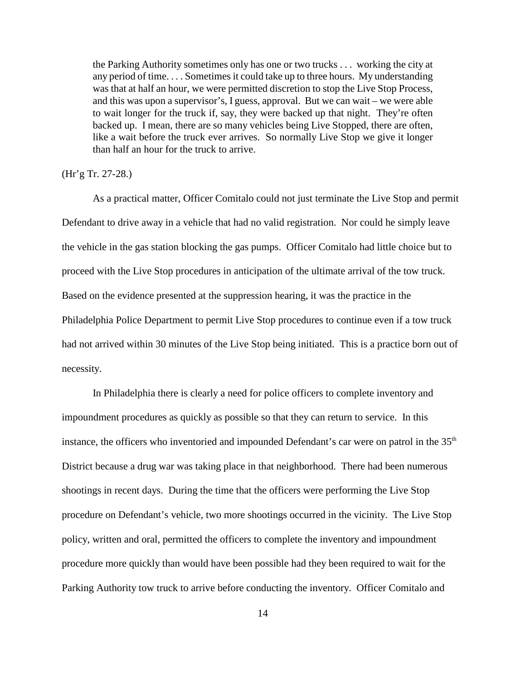the Parking Authority sometimes only has one or two trucks . . . working the city at any period of time. . . . Sometimes it could take up to three hours. My understanding was that at half an hour, we were permitted discretion to stop the Live Stop Process, and this was upon a supervisor's, I guess, approval. But we can wait – we were able to wait longer for the truck if, say, they were backed up that night. They're often backed up. I mean, there are so many vehicles being Live Stopped, there are often, like a wait before the truck ever arrives. So normally Live Stop we give it longer than half an hour for the truck to arrive.

### (Hr'g Tr. 27-28.)

As a practical matter, Officer Comitalo could not just terminate the Live Stop and permit Defendant to drive away in a vehicle that had no valid registration. Nor could he simply leave the vehicle in the gas station blocking the gas pumps. Officer Comitalo had little choice but to proceed with the Live Stop procedures in anticipation of the ultimate arrival of the tow truck. Based on the evidence presented at the suppression hearing, it was the practice in the Philadelphia Police Department to permit Live Stop procedures to continue even if a tow truck had not arrived within 30 minutes of the Live Stop being initiated. This is a practice born out of necessity.

In Philadelphia there is clearly a need for police officers to complete inventory and impoundment procedures as quickly as possible so that they can return to service. In this instance, the officers who inventoried and impounded Defendant's car were on patrol in the 35<sup>th</sup> District because a drug war was taking place in that neighborhood. There had been numerous shootings in recent days. During the time that the officers were performing the Live Stop procedure on Defendant's vehicle, two more shootings occurred in the vicinity. The Live Stop policy, written and oral, permitted the officers to complete the inventory and impoundment procedure more quickly than would have been possible had they been required to wait for the Parking Authority tow truck to arrive before conducting the inventory. Officer Comitalo and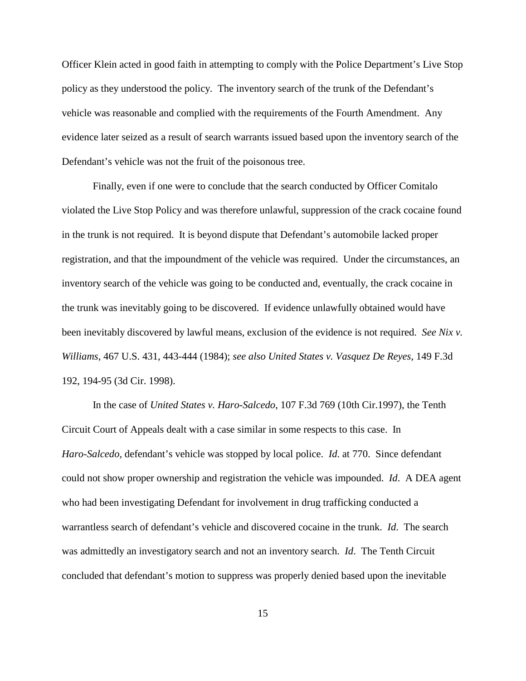Officer Klein acted in good faith in attempting to comply with the Police Department's Live Stop policy as they understood the policy. The inventory search of the trunk of the Defendant's vehicle was reasonable and complied with the requirements of the Fourth Amendment. Any evidence later seized as a result of search warrants issued based upon the inventory search of the Defendant's vehicle was not the fruit of the poisonous tree.

Finally, even if one were to conclude that the search conducted by Officer Comitalo violated the Live Stop Policy and was therefore unlawful, suppression of the crack cocaine found in the trunk is not required. It is beyond dispute that Defendant's automobile lacked proper registration, and that the impoundment of the vehicle was required. Under the circumstances, an inventory search of the vehicle was going to be conducted and, eventually, the crack cocaine in the trunk was inevitably going to be discovered. If evidence unlawfully obtained would have been inevitably discovered by lawful means, exclusion of the evidence is not required. *See Nix v. Williams*, 467 U.S. 431, 443-444 (1984); *see also United States v. Vasquez De Reyes*, 149 F.3d 192, 194-95 (3d Cir. 1998).

In the case of *United States v. Haro-Salcedo*, 107 F.3d 769 (10th Cir.1997), the Tenth Circuit Court of Appeals dealt with a case similar in some respects to this case. In *Haro-Salcedo,* defendant's vehicle was stopped by local police. *Id*. at 770. Since defendant could not show proper ownership and registration the vehicle was impounded. *Id*. A DEA agent who had been investigating Defendant for involvement in drug trafficking conducted a warrantless search of defendant's vehicle and discovered cocaine in the trunk. *Id*. The search was admittedly an investigatory search and not an inventory search. *Id*. The Tenth Circuit concluded that defendant's motion to suppress was properly denied based upon the inevitable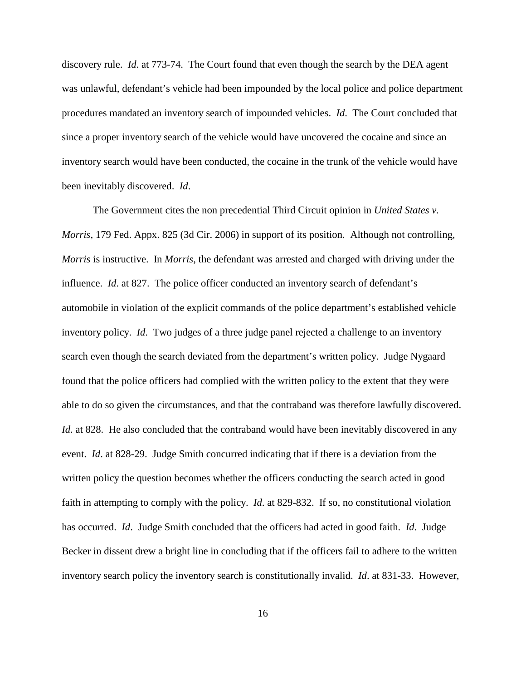discovery rule. *Id*. at 773-74. The Court found that even though the search by the DEA agent was unlawful, defendant's vehicle had been impounded by the local police and police department procedures mandated an inventory search of impounded vehicles. *Id*. The Court concluded that since a proper inventory search of the vehicle would have uncovered the cocaine and since an inventory search would have been conducted, the cocaine in the trunk of the vehicle would have been inevitably discovered. *Id*.

The Government cites the non precedential Third Circuit opinion in *United States v. Morris*, 179 Fed. Appx. 825 (3d Cir. 2006) in support of its position. Although not controlling, *Morris* is instructive. In *Morris*, the defendant was arrested and charged with driving under the influence. *Id*. at 827. The police officer conducted an inventory search of defendant's automobile in violation of the explicit commands of the police department's established vehicle inventory policy. *Id*. Two judges of a three judge panel rejected a challenge to an inventory search even though the search deviated from the department's written policy. Judge Nygaard found that the police officers had complied with the written policy to the extent that they were able to do so given the circumstances, and that the contraband was therefore lawfully discovered. *Id.* at 828. He also concluded that the contraband would have been inevitably discovered in any event. *Id*. at 828-29. Judge Smith concurred indicating that if there is a deviation from the written policy the question becomes whether the officers conducting the search acted in good faith in attempting to comply with the policy. *Id*. at 829-832. If so, no constitutional violation has occurred. *Id*. Judge Smith concluded that the officers had acted in good faith. *Id*. Judge Becker in dissent drew a bright line in concluding that if the officers fail to adhere to the written inventory search policy the inventory search is constitutionally invalid. *Id*. at 831-33. However,